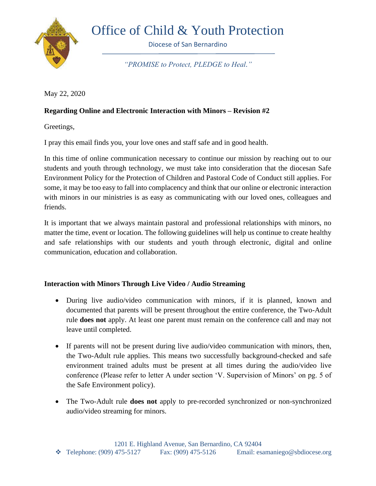

## Office of Child & Youth Protection

Diocese of San Bernardino

*"PROMISE to Protect, PLEDGE to Heal."*

May 22, 2020

## **Regarding Online and Electronic Interaction with Minors – Revision #2**

Greetings,

I pray this email finds you, your love ones and staff safe and in good health.

In this time of online communication necessary to continue our mission by reaching out to our students and youth through technology, we must take into consideration that the diocesan Safe Environment Policy for the Protection of Children and Pastoral Code of Conduct still applies. For some, it may be too easy to fall into complacency and think that our online or electronic interaction with minors in our ministries is as easy as communicating with our loved ones, colleagues and friends.

It is important that we always maintain pastoral and professional relationships with minors, no matter the time, event or location. The following guidelines will help us continue to create healthy and safe relationships with our students and youth through electronic, digital and online communication, education and collaboration.

## **Interaction with Minors Through Live Video / Audio Streaming**

- During live audio/video communication with minors, if it is planned, known and documented that parents will be present throughout the entire conference, the Two-Adult rule **does not** apply. At least one parent must remain on the conference call and may not leave until completed.
- If parents will not be present during live audio/video communication with minors, then, the Two-Adult rule applies. This means two successfully background-checked and safe environment trained adults must be present at all times during the audio/video live conference (Please refer to letter A under section 'V. Supervision of Minors' on pg. 5 of the Safe Environment policy).
- The Two-Adult rule **does not** apply to pre-recorded synchronized or non-synchronized audio/video streaming for minors.

1201 E. Highland Avenue, San Bernardino, CA 92404